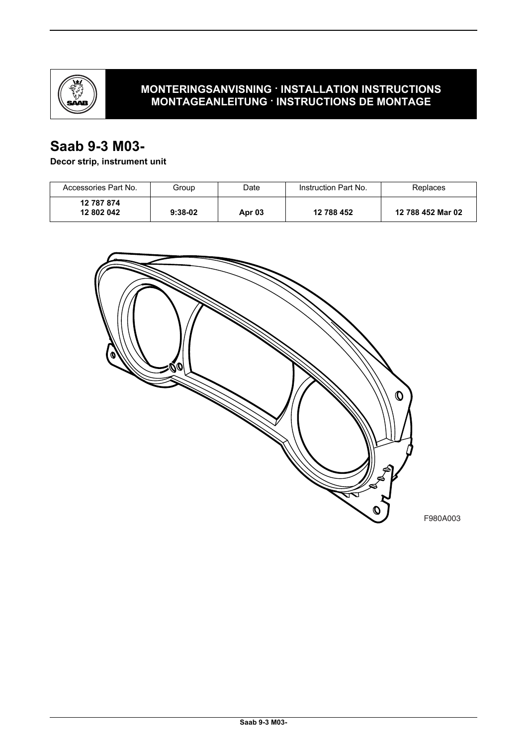

## **MONTERINGSANVISNING · INSTALLATION INSTRUCTIONS MONTAGEANLEITUNG · INSTRUCTIONS DE MONTAGE**

# **Saab 9-3 M03-**

## **Decor strip, instrument unit**

| Accessories Part No.     | Group     | Date          | Instruction Part No. | Replaces          |
|--------------------------|-----------|---------------|----------------------|-------------------|
| 12 787 874<br>12 802 042 | $9:38-02$ | <b>Apr 03</b> | 12 788 452           | 12 788 452 Mar 02 |

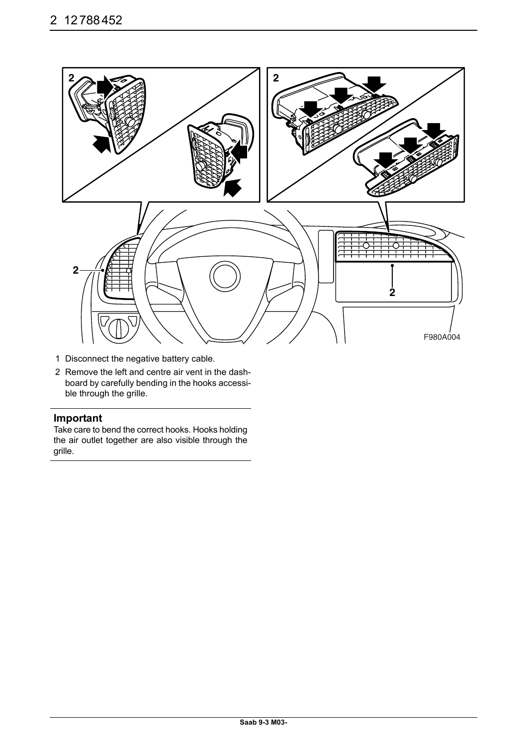

- 1 Disconnect the negative battery cable.
- 2 Remove the left and centre air vent in the dashboard by carefully bending in the hooks accessible through the grille.

### **Important**

Take care to bend the correct hooks. Hooks holding the air outlet together are also visible through the grille.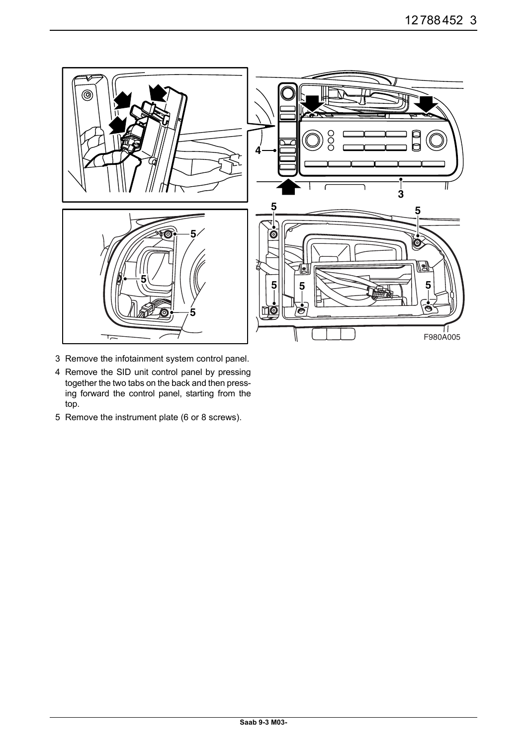

- 3 Remove the infotainment system control panel.
- 4 Remove the SID unit control panel by pressing together the two tabs on the back and then pressing forward the control panel, starting from the top.
- 5 Remove the instrument plate (6 or 8 screws).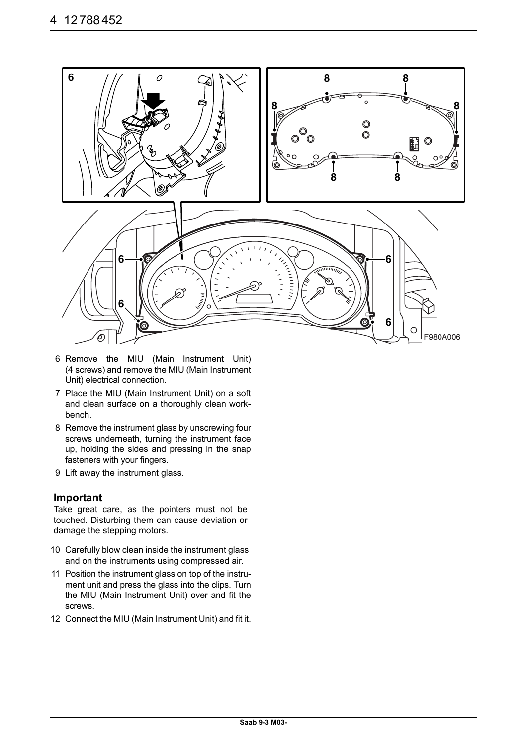

- 6 Remove the MIU (Main Instrument Unit) (4 screws) and remove the MIU (Main Instrument Unit) electrical connection.
- 7 Place the MIU (Main Instrument Unit) on a soft and clean surface on a thoroughly clean workbench.
- 8 Remove the instrument glass by unscrewing four screws underneath, turning the instrument face up, holding the sides and pressing in the snap fasteners with your fingers.
- 9 Lift away the instrument glass.

#### **Important**

Take great care, as the pointers must not be touched. Disturbing them can cause deviation or damage the stepping motors.

- 10 Carefully blow clean inside the instrument glass and on the instruments using compressed air.
- 11 Position the instrument glass on top of the instrument unit and press the glass into the clips. Turn the MIU (Main Instrument Unit) over and fit the screws.
- 12 Connect the MIU (Main Instrument Unit) and fit it.